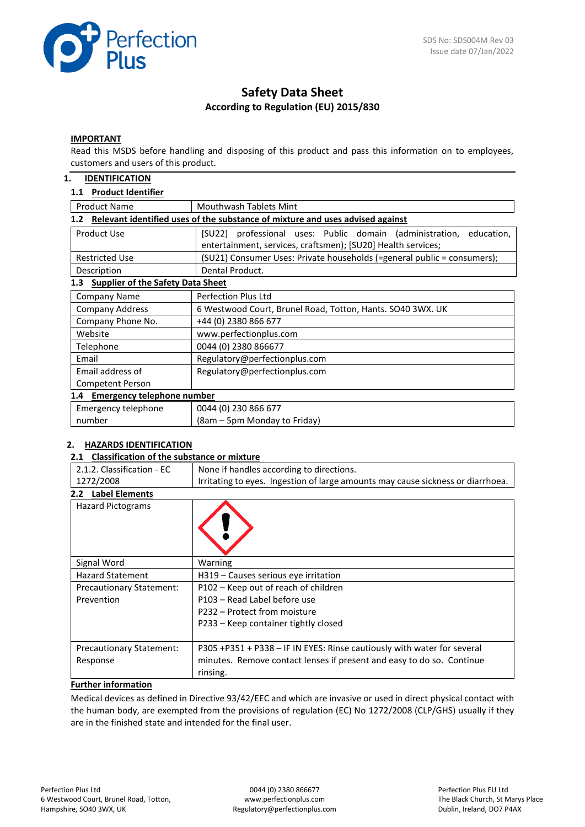

# **Safety Data Sheet According to Regulation (EU) 2015/830**

#### **IMPORTANT**

Read this MSDS before handling and disposing of this product and pass this information on to employees, customers and users of this product.

## **1. IDENTIFICATION**

### **1.1 Product Identifier**

| <b>Product Name</b><br>Mouthwash Tablets Mint                                        |                                                                         |  |  |  |
|--------------------------------------------------------------------------------------|-------------------------------------------------------------------------|--|--|--|
| Relevant identified uses of the substance of mixture and uses advised against<br>1.2 |                                                                         |  |  |  |
| Product Use                                                                          | [SU22] professional uses: Public domain (administration,<br>education,  |  |  |  |
|                                                                                      | entertainment, services, craftsmen); [SU20] Health services;            |  |  |  |
| <b>Restricted Use</b>                                                                | (SU21) Consumer Uses: Private households (=general public = consumers); |  |  |  |
| Description                                                                          | Dental Product.                                                         |  |  |  |
| <b>Supplier of the Safety Data Sheet</b><br>1.3                                      |                                                                         |  |  |  |
| Company Name                                                                         | Perfection Plus Ltd                                                     |  |  |  |
| <b>Company Address</b>                                                               | 6 Westwood Court, Brunel Road, Totton, Hants. SO40 3WX. UK              |  |  |  |
| Company Phone No.                                                                    | +44 (0) 2380 866 677                                                    |  |  |  |
| Website                                                                              | www.perfectionplus.com                                                  |  |  |  |
| Telephone                                                                            | 0044 (0) 2380 866677                                                    |  |  |  |
| Email                                                                                | Regulatory@perfectionplus.com                                           |  |  |  |
| Email address of                                                                     | Regulatory@perfectionplus.com                                           |  |  |  |
| Competent Person                                                                     |                                                                         |  |  |  |
| 1.4 Emergency telephone number                                                       |                                                                         |  |  |  |
| Emergency telephone                                                                  | 0044 (0) 230 866 677                                                    |  |  |  |
| number                                                                               | (8am – 5pm Monday to Friday)                                            |  |  |  |

### **2. HAZARDS IDENTIFICATION**

#### **2.1 Classification of the substance or mixture**

| 2.1.2. Classification - EC                                                                   | None if handles according to directions.                                |  |  |
|----------------------------------------------------------------------------------------------|-------------------------------------------------------------------------|--|--|
| 1272/2008<br>Irritating to eyes. Ingestion of large amounts may cause sickness or diarrhoea. |                                                                         |  |  |
| <b>Label Elements</b><br>2.2                                                                 |                                                                         |  |  |
| <b>Hazard Pictograms</b>                                                                     |                                                                         |  |  |
| Signal Word                                                                                  | Warning                                                                 |  |  |
| <b>Hazard Statement</b>                                                                      | H319 – Causes serious eye irritation                                    |  |  |
| <b>Precautionary Statement:</b>                                                              | P102 – Keep out of reach of children                                    |  |  |
| Prevention                                                                                   | P103 - Read Label before use                                            |  |  |
|                                                                                              | P232 – Protect from moisture                                            |  |  |
|                                                                                              | P233 - Keep container tightly closed                                    |  |  |
| <b>Precautionary Statement:</b>                                                              | P305 +P351 + P338 - IF IN EYES: Rinse cautiously with water for several |  |  |
| Response                                                                                     | minutes. Remove contact lenses if present and easy to do so. Continue   |  |  |
|                                                                                              | rinsing.                                                                |  |  |

## **Further information**

Medical devices as defined in Directive 93/42/EEC and which are invasive or used in direct physical contact with the human body, are exempted from the provisions of regulation (EC) No 1272/2008 (CLP/GHS) usually if they are in the finished state and intended for the final user.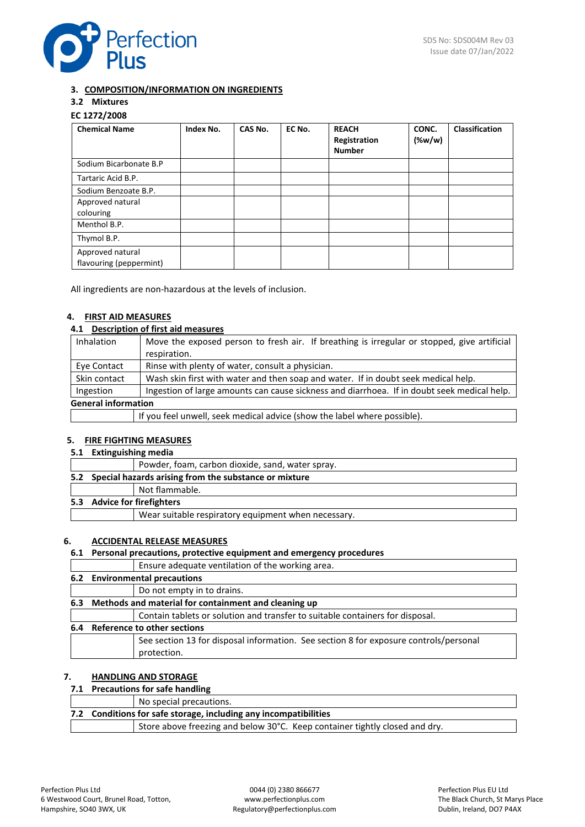

## **3. COMPOSITION/INFORMATION ON INGREDIENTS**

## **3.2 Mixtures**

## **EC 1272/2008**

| <b>Chemical Name</b>                        | Index No. | CAS No. | EC No. | <b>REACH</b><br>Registration<br><b>Number</b> | CONC.<br>$(\%w/w)$ | <b>Classification</b> |
|---------------------------------------------|-----------|---------|--------|-----------------------------------------------|--------------------|-----------------------|
| Sodium Bicarbonate B.P                      |           |         |        |                                               |                    |                       |
| Tartaric Acid B.P.                          |           |         |        |                                               |                    |                       |
| Sodium Benzoate B.P.                        |           |         |        |                                               |                    |                       |
| Approved natural                            |           |         |        |                                               |                    |                       |
| colouring                                   |           |         |        |                                               |                    |                       |
| Menthol B.P.                                |           |         |        |                                               |                    |                       |
| Thymol B.P.                                 |           |         |        |                                               |                    |                       |
| Approved natural<br>flavouring (peppermint) |           |         |        |                                               |                    |                       |

All ingredients are non-hazardous at the levels of inclusion.

## **4. FIRST AID MEASURES**

## **4.1 Description of first aid measures**

| <b>Inhalation</b>          | Move the exposed person to fresh air. If breathing is irregular or stopped, give artificial |  |
|----------------------------|---------------------------------------------------------------------------------------------|--|
|                            | respiration.                                                                                |  |
| Eye Contact                | Rinse with plenty of water, consult a physician.                                            |  |
| Skin contact               | Wash skin first with water and then soap and water. If in doubt seek medical help.          |  |
| Ingestion                  | Ingestion of large amounts can cause sickness and diarrhoea. If in doubt seek medical help. |  |
| <b>General information</b> |                                                                                             |  |
|                            | If you feel unwell, seek medical advice (show the label where possible).                    |  |

### **5. FIRE FIGHTING MEASURES**

#### **5.1 Extinguishing media**

|  | Powder, foam, carbon dioxide, sand, water spray.          |
|--|-----------------------------------------------------------|
|  | 5.2 Special hazards arising from the substance or mixture |
|  | Not flammable.                                            |
|  | 5.3 Advice for firefighters                               |
|  | Wear suitable respiratory equipment when necessary.       |
|  |                                                           |

### **6. ACCIDENTAL RELEASE MEASURES**

## **6.1 Personal precautions, protective equipment and emergency procedures**

| Ensure adequate ventilation of the working area.                                                     |  |  |  |
|------------------------------------------------------------------------------------------------------|--|--|--|
| 6.2 Environmental precautions                                                                        |  |  |  |
| Do not empty in to drains.                                                                           |  |  |  |
| 6.3 Methods and material for containment and cleaning up                                             |  |  |  |
| Contain tablets or solution and transfer to suitable containers for disposal.                        |  |  |  |
| 6.4 Reference to other sections                                                                      |  |  |  |
| See section 13 for disposal information. See section 8 for exposure controls/personal<br>protection. |  |  |  |
|                                                                                                      |  |  |  |

## **7. HANDLING AND STORAGE**

## **7.1 Precautions for safe handling**

## No special precautions.

| 7.2 Conditions for safe storage, including any incompatibilities |                                                                             |  |  |
|------------------------------------------------------------------|-----------------------------------------------------------------------------|--|--|
|                                                                  | Store above freezing and below 30°C. Keep container tightly closed and dry. |  |  |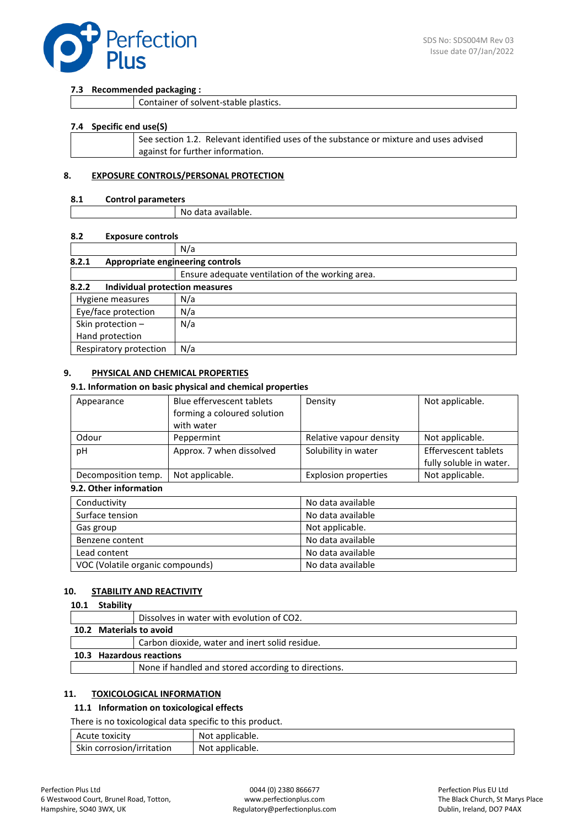

#### **7.3 Recommended packaging :**

|  | Container of solvent-stable plastics. |
|--|---------------------------------------|
|--|---------------------------------------|

#### **7.4 Specific end use(S)**

| See section 1.2. Relevant identified uses of the substance or mixture and uses advised |
|----------------------------------------------------------------------------------------|
| against for further information.                                                       |
|                                                                                        |

#### **8. EXPOSURE CONTROLS/PERSONAL PROTECTION**

### **8.1 Control parameters**

| Νc<br>) data<br>' dvdildDie. |  |
|------------------------------|--|

#### **8.2 Exposure controls**

|                                           | N/a                                              |  |  |  |
|-------------------------------------------|--------------------------------------------------|--|--|--|
| 8.2.1<br>Appropriate engineering controls |                                                  |  |  |  |
|                                           | Ensure adequate ventilation of the working area. |  |  |  |
| 8.2.2<br>Individual protection measures   |                                                  |  |  |  |
| N/a<br>Hygiene measures                   |                                                  |  |  |  |
| Eye/face protection                       | N/a                                              |  |  |  |
| Skin protection -                         | N/a                                              |  |  |  |
| Hand protection                           |                                                  |  |  |  |
| Respiratory protection                    | N/a                                              |  |  |  |

## **9. PHYSICAL AND CHEMICAL PROPERTIES**

#### **9.1. Information on basic physical and chemical properties**

| Appearance          | Blue effervescent tablets   | Density                     | Not applicable.         |
|---------------------|-----------------------------|-----------------------------|-------------------------|
|                     | forming a coloured solution |                             |                         |
|                     | with water                  |                             |                         |
| Odour               | Peppermint                  | Relative vapour density     | Not applicable.         |
| pH                  | Approx. 7 when dissolved    | Solubility in water         | Effervescent tablets    |
|                     |                             |                             | fully soluble in water. |
| Decomposition temp. | Not applicable.             | <b>Explosion properties</b> | Not applicable.         |

### **9.2. Other information**

| Conductivity                     | No data available |
|----------------------------------|-------------------|
| Surface tension                  | No data available |
| Gas group                        | Not applicable.   |
| Benzene content                  | No data available |
| Lead content                     | No data available |
| VOC (Volatile organic compounds) | No data available |

## **10. STABILITY AND REACTIVITY**

#### **10.1 Stability**

|                          |  | Dissolves in water with evolution of CO2.           |
|--------------------------|--|-----------------------------------------------------|
|                          |  | 10.2 Materials to avoid                             |
|                          |  | Carbon dioxide, water and inert solid residue.      |
| 10.3 Hazardous reactions |  |                                                     |
|                          |  | None if handled and stored according to directions. |

## **11. TOXICOLOGICAL INFORMATION**

## **11.1 Information on toxicological effects**

There is no toxicological data specific to this product.

| Acute toxicity            | Not applicable. |  |
|---------------------------|-----------------|--|
| Skin corrosion/irritation | Not applicable. |  |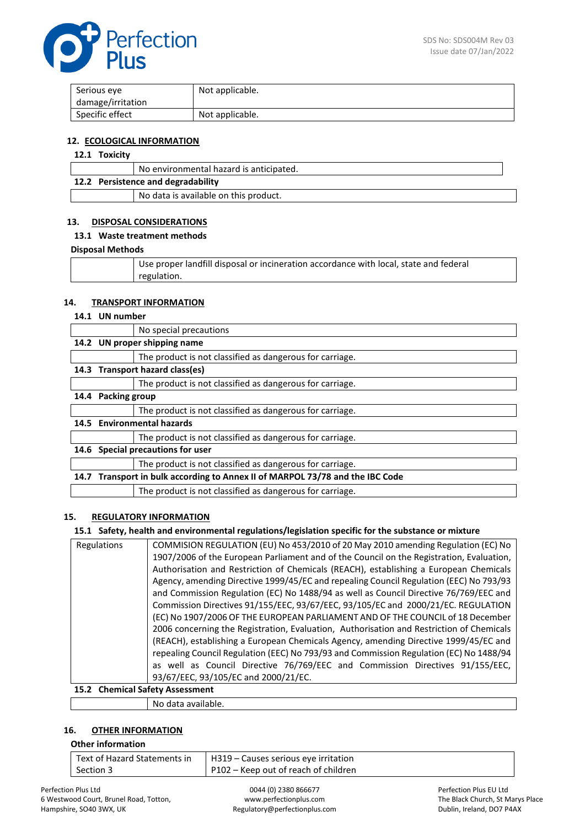

| Serious eve       | Not applicable. |
|-------------------|-----------------|
| damage/irritation |                 |
| Specific effect   | Not applicable. |

### **12. ECOLOGICAL INFORMATION**

## **12.1 Toxicity**

|                                    | No environmental hazard is anticipated. |
|------------------------------------|-----------------------------------------|
| 12.2 Persistence and degradability |                                         |
|                                    | No data is available on this product.   |

## **13. DISPOSAL CONSIDERATIONS**

#### **13.1 Waste treatment methods**

#### **Disposal Methods**

| Use proper landfill disposal or incineration accordance with local, state and federal |
|---------------------------------------------------------------------------------------|
| regulation.                                                                           |

#### **14. TRANSPORT INFORMATION**

### **14.1 UN number**

|      |                                                                          | No special precautions                                   |  |
|------|--------------------------------------------------------------------------|----------------------------------------------------------|--|
|      | 14.2 UN proper shipping name                                             |                                                          |  |
|      |                                                                          | The product is not classified as dangerous for carriage. |  |
|      | 14.3 Transport hazard class(es)                                          |                                                          |  |
|      |                                                                          | The product is not classified as dangerous for carriage. |  |
|      |                                                                          | 14.4 Packing group                                       |  |
|      |                                                                          | The product is not classified as dangerous for carriage. |  |
|      | 14.5 Environmental hazards                                               |                                                          |  |
|      |                                                                          | The product is not classified as dangerous for carriage. |  |
| 14.6 | Special precautions for user                                             |                                                          |  |
|      |                                                                          | The product is not classified as dangerous for carriage. |  |
| 14.7 | Transport in bulk according to Annex II of MARPOL 73/78 and the IBC Code |                                                          |  |
|      |                                                                          | The product is not classified as dangerous for carriage. |  |

## **15. REGULATORY INFORMATION**

## **15.1 Safety, health and environmental regulations/legislation specific for the substance or mixture**

| Regulations                      | COMMISION REGULATION (EU) No 453/2010 of 20 May 2010 amending Regulation (EC) No         |
|----------------------------------|------------------------------------------------------------------------------------------|
|                                  | 1907/2006 of the European Parliament and of the Council on the Registration, Evaluation, |
|                                  | Authorisation and Restriction of Chemicals (REACH), establishing a European Chemicals    |
|                                  | Agency, amending Directive 1999/45/EC and repealing Council Regulation (EEC) No 793/93   |
|                                  | and Commission Regulation (EC) No 1488/94 as well as Council Directive 76/769/EEC and    |
|                                  | Commission Directives 91/155/EEC, 93/67/EEC, 93/105/EC and 2000/21/EC. REGULATION        |
|                                  | (EC) No 1907/2006 OF THE EUROPEAN PARLIAMENT AND OF THE COUNCIL of 18 December           |
|                                  | 2006 concerning the Registration, Evaluation, Authorisation and Restriction of Chemicals |
|                                  | (REACH), establishing a European Chemicals Agency, amending Directive 1999/45/EC and     |
|                                  | repealing Council Regulation (EEC) No 793/93 and Commission Regulation (EC) No 1488/94   |
|                                  | as well as Council Directive 76/769/EEC and Commission Directives 91/155/EEC,            |
|                                  | 93/67/EEC, 93/105/EC and 2000/21/EC.                                                     |
| 15.2. Chamical Safety Accordment |                                                                                          |

# **15.2 Chemical Safety Assessment**

No data available.

## **16. OTHER INFORMATION**

## **Other information**

| Text of Hazard Statements in | H319 – Causes serious eye irritation |
|------------------------------|--------------------------------------|
| Section 3                    | P102 – Keep out of reach of children |